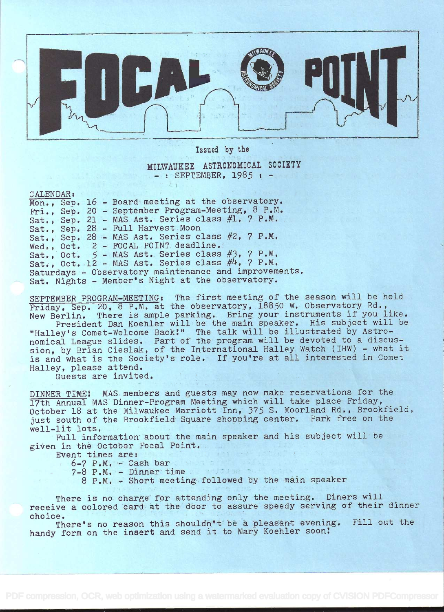

Issued by the

MILWAUKEE ASTRONOMICAL SOCIETY  $-$ : SEPTEMBER, 1985  $+$ 

CALENDAR:

Mon., Sep. 16 - Board meeting at the observatory. Fri., Sep. 20 - September Program-Meeting, 8 P.M. Sat., Sep. 21 - MAS Ast. Series class  $#1, 7$  P.M. Sat., Sep. 28 - Full Harvest Moon Sat., Sep. 28 - MAS Ast. Series class #2, 7 P.M. Wed., Oct. 2 - FOCAL POINT deadline. Sat., Oct. 5 - MAS Ast. Series class #3, 7 P.M. Sat., Oct. 12 - MAS Ast. Series class  $#4$ , 7 P.M. Saturdays - Observatory maintenance and improvements. Sat. Nights - Member's Night at the observatory,

SEPTEMBER PROGRAM-MEETING: The first meeting of the season will be held Friday, Sep. 20, 8 P.M. at the observatory, 18850 W. Observatory Rd., New Berlin. There is ample parking. Bring your instruments if you like. President Dan Koehier will be the main speaker. His subject will be "Halley's Comet-Welcome Back!" The talk will be illustrated by Astronomical League slides. Part of the program will be devoted to a discussion, by Brian Cieslak, of the International Halley Watch (IHW) - what it is and what is the Society's role. If you're at all interested in Comet Halley, please attend.

Guests are invited.

DINNER TIME: MAS members and guests may now make reservations for the 17th Annual MAS Dinner-Program Meeting which will take place Friday, October 18 at the Milwaukee Marriott Inn, 375 S. Moorland Rd., Brookfield, just south of the Brookfield Square shopping center. Park free on the well-lit lots.

Full information about the main speaker and his subject will be given in thè October Focal Point.

Event times are:

 $6-7$  P.M. - Cash bar  $7-8$  P M - Dinner time

7-8 P.M. - Dinner time

<sup>8</sup>PM. - Short meeting followed by the main speaker

There is no charge for attending only the meeting. Diners will receive a colored card at the door to assure speedy serving of their dinner choice.

There's no reason this shouldn't be a pleasant evening. Fill out the handy form on the insert and send it to Mary Koehler soon: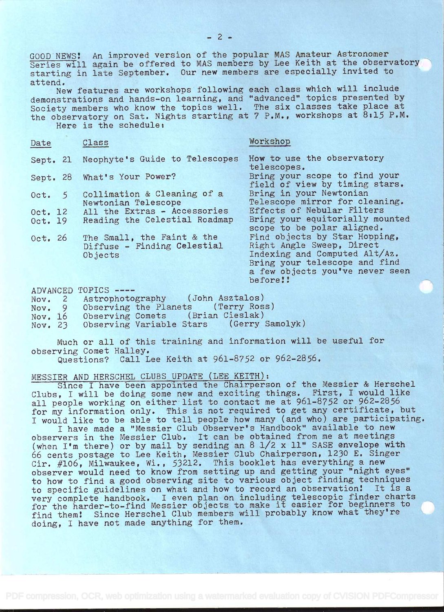GOOD NEWS! An improved version of the popular MAS Amateur Astronomer Series will again be offered to MAS members by Lee Keith at the observatory starting in late September. Our new members are especially invited to attend.

New features are workshops following each class which will include demonstrations and hands-on learning, and "advanced" topics presented by Society members who know the topics well. The six classes take place at the observatory on Sat. Nights starting at 7 P.M., workshops at 8:15 P.M. Here is the schedule:

| Date                   | Class                                                                | Workshop                                                                                                                                                                    |
|------------------------|----------------------------------------------------------------------|-----------------------------------------------------------------------------------------------------------------------------------------------------------------------------|
|                        | Sept. 21 Neophyte's Guide to Telescopes                              | How to use the observatory<br>telescopes.                                                                                                                                   |
|                        | Sept. 28 What's Your Power?                                          | Bring your scope to find your<br>field of view by timing stars.                                                                                                             |
| 5 <sup>5</sup><br>Oct. | Collimation & Cleaning of a<br>Newtonian Telescope                   | Bring in your Newtonian<br>Telescope mirror for cleaning.                                                                                                                   |
| Oct. 12<br>Oct. 19     | All the Extras - Accessories<br>Reading the Celestial Roadmap        | Effects of Nebular Filters<br>Bring your equitorially mounted<br>scope to be polar aligned.                                                                                 |
| Oct. 26                | The Small, the Faint & the<br>Diffuse - Finding Celestial<br>Objects | Find objects by Star Hopping,<br>Right Angle Sweep, Direct<br>Indexing and Computed Alt/Az.<br>Bring your telescope and find<br>a few objects you've never seen<br>before!! |

ADVANCED TOPICS

|         | Nov. 2 Astrophotography (John Asztalos)     |  |
|---------|---------------------------------------------|--|
| Nov. 9  | Observing the Planets (Terry Ross)          |  |
| Nov. 16 | Observing Comets (Brian Cieslak)            |  |
| Nov. 23 | (Gerry Samolyk)<br>Observing Variable Stars |  |
|         |                                             |  |

Much or all of this training and information will be useful for observing Comet Halley.

Questions? Call Lee Keith at 961-8752 or 962-2856.

## MESSIER AND HERSCHEL CLUBS UPDATE (LEE KEITH):

Since I have been appointed the Chairperson of the Messier & Herschel Clubs, I will be doing some new and exciting things. First, I would like all people working on either list to contact me at 961-8752 or 962-2856 for my information only. This is not required to get any certificate, but <sup>I</sup>would like to be able to tell people how many (and who) are participating.

<sup>I</sup>have made a "Messier Club Observer's Handbook" available to new observers in the Messier Club. It can be obtained from me at meetings (when I'm there) or by mail by sending an 8 1/2 x 11" SASE envelope with 66 cents postage to Lee Keith, Messier Club Chairperson, 1230 E. Singer Cir. #106, Milwaukee, Wi., 53212. This booklet has everything a new observer would need to know from setting up and getting your "night eyes" to how to find a good observing site to various object finding techniques to specific guidelines on what and how to record an observation! It is a very complete handbook. I even plan on including telescopic finder charts for the harder-to-find Messier objects to make it easier for beginners to find them! Since Herschel Club members will probably know what they're doing, I have not made anything for them.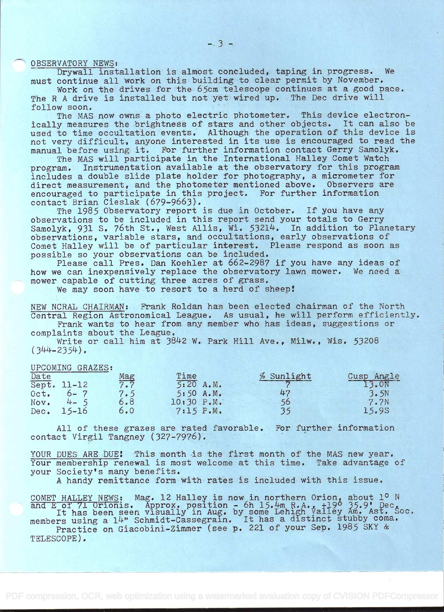OBSERVATORY NEWS:

Drywall installation is almost concluded, taping in progress. We must continue all work on this building to clear permit by November.

Work on the drives for the 65cm telescope continues at a good pace. The R A drive is installed but not yet wired up. The Dec drive will follow soon.

The MAS now owns a photo electric photometer. This device electronically measures the brightness of stars and other objects. It can also be used to time occultation events. Although the operation of this device is not very difficult, anyone interested in its use is encouraged to read the manual before using it. For further information contact Gerry Samolyk.

The MAS will participate in the International Halley Comet Watch program. Instrumentation available at the observatory for this program includes a double slide plate holder for photography, a micrometer for direct measurement, and the photometer mentioned above. Observers are encouraged to participate in this project. For further information contact Brian Cieslak (679-9663).

The 1985 Observatory report is due in October. If you have any observations to be included in this report send your totals to Gerry Samolyk, 931 S. 76th St., West Allis, Wi. 53214. In addition to Planetary observations, variable stars, and occultations, early observations of Comet Halley will be of particular interest. Please respond as soon as possible so your observations can be included.

Please call Pres. Dan Koehler at 662-2987 if you have any ideas of how we can inexpensively replace the observatory lawn mower. We need a mower capable of cutting three acres of grass.

We may soon have to resort to a herd of sheep!

NEW NCRAL CHAIRMAN: Frank Roldan has been elected chairman of the North Central Region Astronomical League. As usual, he will perform efficiently, Frank wants to hear from any member who has ideas, suggestions or

complaints about the League.

Write or call him at 3842 W. Park Hill Ave., Milw., Wis. 53208  $(344 - 2354)$ .

## UPCOMING GRAZES:

| Date |             | $\frac{Mag}{7.7}$ | Time       | % Sunlight | Cusp Angle |
|------|-------------|-------------------|------------|------------|------------|
|      | Sept. 11-12 |                   | 5:20 A.M.  |            | 13.0N      |
| Oct. | $6 - 7$     | 7.5               | 5:50 A.M.  | 47         | 3.5N       |
| Nov. | $4 - 5$     | 6.8               | 10:30 P.M. | 56         | 7.7N       |
| Dec. | $15 - 16$   | 6.0               | 7:15 P.M.  |            | 15.9S      |

All of these grazes are rated favorable. For further information contact Virgil Tangney (327-7976).

YOUR DUES ARE DUE! This month is the first month of the MAS new year. Your membership renewal is most welcome at this time. Take advantage of your Society's many benefits.

A handy remittance form with rates is included with this issue.

COMET HALLEY NEWS: Mag. 12 Halley is now in northern Orion, about 1º N and E of 71 Orionis. Approx. position - 6h 15.4m R.A.,  $+190$  35.9.  $\text{Dec}_{\&{2.5}}$ It has been seen visually in Aug. by some Lehigh Valley Am. Ast. Soc. members using a 14" Schmidt-Cassegrain. It has a distinct stubby coma. Practice on Giacobini-Zimmer (see p. 221 of your Sep. 1985 SKY & TELESCOPE).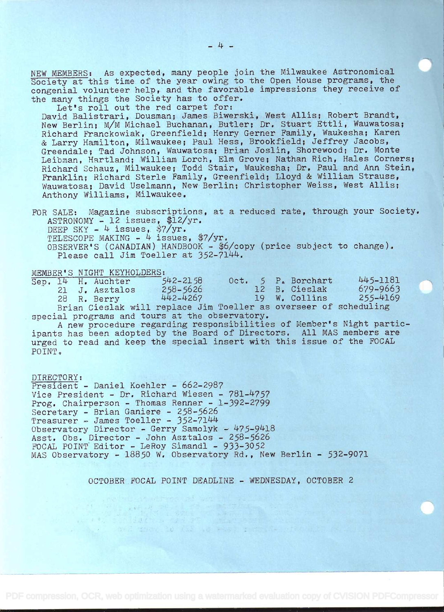NEW MEMBERS: As expected, many people join the Milwaukee Astronomical Society at this time of the year owing to the Open House programs, the congenial volunteer help, and the favorable impressions they receive of the many things the Society has to offer.

Let's roll out the red carpet for: David Balistrari, Dousman; James Biwerski, West Allis; Robert Brandt, New Berlin; M/M Michael Buchanan, Butler; Dr. Stuart Ettli, Wauwatosa; Richard Franckowiak, Greenfield; Henry Gerner Family, Waukesha; Karen & Larry Hamilton, Milwaukee; Paul Hess, Brookfield; Jeffrey Jacobs, Greendale; Tad Johnson, Wauwatosa; Brian Joslin, Shorewood; Dr. Monte Leibman, Hartland; William Lorch, Elm Grove; Nathan Rich, Hales Corners; Richard Schauz, Milwaukee; Todd Stair, Waukesha; Dr. Paul and Ann Stein, Franklin; Richard Sterle Family, Greenfield; Lloyd & William Strauss, Wauwatosa; David Uselmann, New Berlin; Christopher Weiss, West Allis; Anthony Williams, Milwaukee.

FOR SALE: Magazine subscriptions, at a reduced rate, through your Society.  $ASTRONOMY - 12$  issues, \$12/yr. DEEP SKY -  $4$  issues, \$7/yr. TELESCOPE MAKING -  $4$  issues, \$7/yr. OBSERVER'S (CANADIAN) HANDBOOK - \$6/copy (price subject to change).<br>Please call Jim Toeller at 352-7144.

|  | MEMBER'S NIGHT KEYHOLDERS: |              |  |                    |                                                                                                                 |  |
|--|----------------------------|--------------|--|--------------------|-----------------------------------------------------------------------------------------------------------------|--|
|  | Sep. 14 H. Auchter         | $542 - 2158$ |  | Oct. 5 P. Borchart | 445-1181                                                                                                        |  |
|  | 21 J. Asztalos             | $258 - 5626$ |  | 12 B. Cieslak      | 679-9663                                                                                                        |  |
|  | 28 R. Berry                | 442-4267     |  | 19 W. Collins      | $255 - 4169$                                                                                                    |  |
|  |                            |              |  |                    | and the state of the state of the state of the state of the state of the state of the state of the state of the |  |

Brian Cieslak will replace Jim Toeller as overseer of scheduling special programs and tours at the observatory.

<sup>A</sup>new procedure regarding responsibilities of Member's Night partic- ipants has been adopted by the Board of Directors. All MAS members are urged to read and keep the special insert with this issue of the FOCAL POINT.

DIRECTORY: President - Daniel Koehier - 662-2987 Vice President - Dr. Richard Wiesen - 781-4757 Prog. Chairperson - Thomas Renner - 1-392-2799 Secretary - Brian Ganiere - 258-5626 Treasurer - James Toeller - 352-7144 Observatory Director - Gerry Samolyk - 475-9418 Asst. Obs. Director - John Asztalos - 258-5626 FOCAL POINT Editor - LeRoy Simandl - 933-3052 MAS Observatory - 18850 W. Observatory Rd., New Berlin - 532-9071

minima (Ca) in Library is derived

OCTOBER FOCAL POINT DEADLINE - WEDNESDAY, OCTOBER 2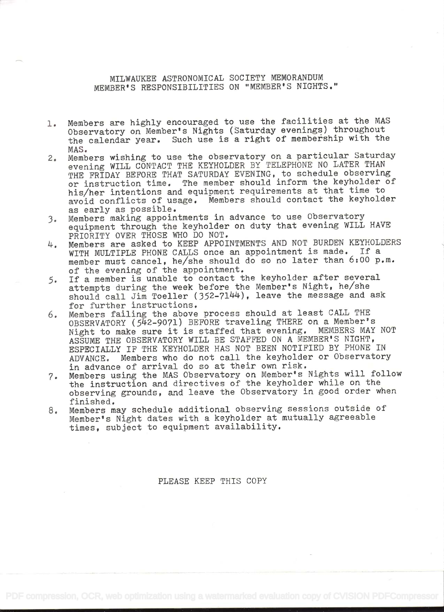MILWAUKEE ASTRONOMICAL SOCIETY MEMORANDUM MEMBER' S RESPONSIBILITIES ON "MEMBER' S NIGHTS.'

- 1. Members are highly encouraged to use the facilities at the MAS Observatory on Member's Nights (Saturday evenings) throughout the calendar year. Such use is a right of membership with the
- MAS. 2. Members wishing to use the observatory on a particular Saturday evening WILL CONTACT THE KEYHOLDER BY TELEPHONE NO LATER THAN THE FRIDAY BEFORE THAT SATURDAY EVENING, to schedule observing or instruction time. The member should inform the keyholder of his/her intentions and equipment requirements at that time to avoid conflicts of usage. Members should contact the keyholder as early as possible.
- 3. Members making appointments in advance to use Observatory equipment through the keyholder on duty that evening WILL HAVE PRIORITY OVER THOSE WHO DO NOT.
- 14. Members are asked to KEEP APPOINTMENTS AND NOT BURDEN KEYHOLDERS WITH MULTIPLE PHONE CALLS once an appointment is made. If a member must cancel, he/she should do so no later than 6:00 p.m. of the evening of the appointment.
- 5. If a member is unable to contact the keyholder after several attempts during the week before the Member's Night, he/she should call Jim Toeller (352-7144), leave the message and ask for further instructions,
- 6. Members failing the above process should at least CALL THE OBSERVATORY (542-9071) BEFORE traveling THERE on a Member's Night to make sure it is staffed that evening. MEMBERS MAY NOT ASSUME THE OBSERVATORY WILL BE STAFFED ON A MEMBER'S NIGHT, ESPECIALLY IF THE KEYHOLDER HAS NOT BEEN NOTIFIED BY PHONE IN ADVANCE. Members who do not call the keyholder or Observatory in advance of arrival do so at their own risk.
- 7. Members using the MAS Observatory on Member's Nights will follow the instruction and directives of the keyholder while on the observing grounds, and leave the Observatory in good order when finished.
- 8. Members may schedule additional observing sessions outside of Member's Night dates with a keyholder at mutually agreeable times, subject to equipment availability.

PLEASE KEEP THIS COPY